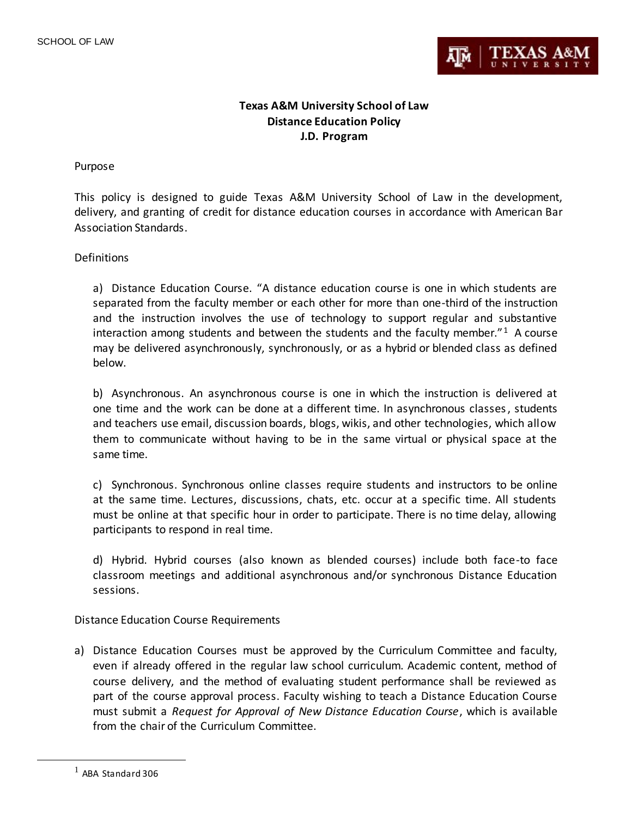

## **Texas A&M University School of Law Distance Education Policy J.D. Program**

## Purpose

This policy is designed to guide Texas A&M University School of Law in the development, delivery, and granting of credit for distance education courses in accordance with American Bar Association Standards.

## **Definitions**

a) Distance Education Course. "A distance education course is one in which students are separated from the faculty member or each other for more than one-third of the instruction and the instruction involves the use of technology to support regular and substantive interaction among students and between the students and the faculty member." $1$  A course may be delivered asynchronously, synchronously, or as a hybrid or blended class as defined below.

b) Asynchronous. An asynchronous course is one in which the instruction is delivered at one time and the work can be done at a different time. In asynchronous classes, students and teachers use email, discussion boards, blogs, wikis, and other technologies, which allow them to communicate without having to be in the same virtual or physical space at the same time.

c) Synchronous. Synchronous online classes require students and instructors to be online at the same time. Lectures, discussions, chats, etc. occur at a specific time. All students must be online at that specific hour in order to participate. There is no time delay, allowing participants to respond in real time.

d) Hybrid. Hybrid courses (also known as blended courses) include both face-to face classroom meetings and additional asynchronous and/or synchronous Distance Education sessions.

Distance Education Course Requirements

a) Distance Education Courses must be approved by the Curriculum Committee and faculty, even if already offered in the regular law school curriculum. Academic content, method of course delivery, and the method of evaluating student performance shall be reviewed as part of the course approval process. Faculty wishing to teach a Distance Education Course must submit a *Request for Approval of New Distance Education Course*, which is available from the chair of the Curriculum Committee.

 $\overline{a}$ 

 $1$  ABA Standard 306